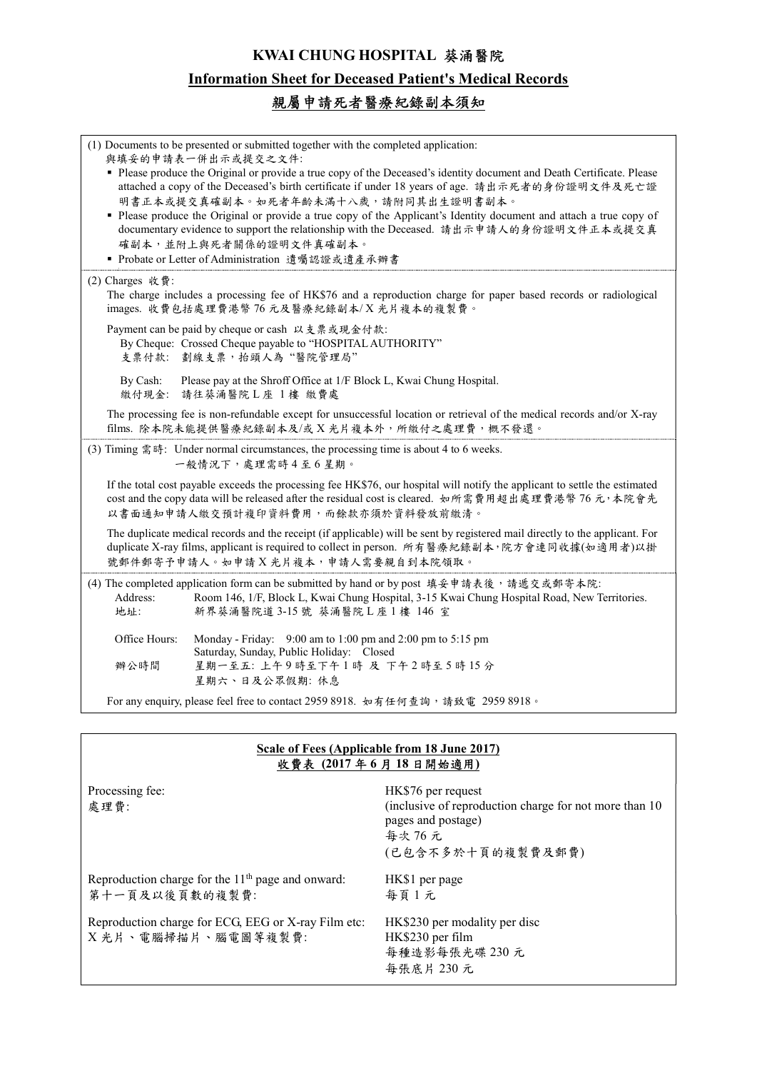## KWAI CHUNG HOSPITAL 葵涌醫院

## Information Sheet for Deceased Patient's Medical Records

## 親屬申請死者醫療紀錄副本須知

| (1) Documents to be presented or submitted together with the completed application:<br>與填妥的申請表一併出示或提交之文件:<br>• Please produce the Original or provide a true copy of the Deceased's identity document and Death Certificate. Please<br>attached a copy of the Deceased's birth certificate if under 18 years of age. 請出示死者的身份證明文件及死亡證<br>明書正本或提交真確副本。如死者年齡未滿十八歲,請附同其出生證明書副本。<br>• Please produce the Original or provide a true copy of the Applicant's Identity document and attach a true copy of<br>documentary evidence to support the relationship with the Deceased. 請出示申請人的身份證明文件正本或提交真<br>確副本,並附上與死者關係的證明文件真確副本。<br>■ Probate or Letter of Administration 遺囑認證或遺產承辦書 |  |  |
|------------------------------------------------------------------------------------------------------------------------------------------------------------------------------------------------------------------------------------------------------------------------------------------------------------------------------------------------------------------------------------------------------------------------------------------------------------------------------------------------------------------------------------------------------------------------------------------------------------------------------------------------------------------------------|--|--|
| (2) Charges 收費:<br>The charge includes a processing fee of HK\$76 and a reproduction charge for paper based records or radiological<br>images. 收費包括處理費港幣76元及醫療紀錄副本/X光片複本的複製費。                                                                                                                                                                                                                                                                                                                                                                                                                                                                                                |  |  |
| Payment can be paid by cheque or cash 以支票或現金付款:<br>By Cheque: Crossed Cheque payable to "HOSPITAL AUTHORITY"<br>支票付款: 劃線支票, 抬頭人為"醫院管理局"                                                                                                                                                                                                                                                                                                                                                                                                                                                                                                                                      |  |  |
| Please pay at the Shroff Office at 1/F Block L, Kwai Chung Hospital.<br>By Cash:<br>繳付現金:<br>請往葵涌醫院L座 1樓 繳費處                                                                                                                                                                                                                                                                                                                                                                                                                                                                                                                                                                 |  |  |
| The processing fee is non-refundable except for unsuccessful location or retrieval of the medical records and/or X-ray<br>films. 除本院未能提供醫療紀錄副本及/或X光片複本外,所繳付之處理費,概不發還。                                                                                                                                                                                                                                                                                                                                                                                                                                                                                                        |  |  |
| (3) Timing 需時: Under normal circumstances, the processing time is about 4 to 6 weeks.<br>一般情況下,處理需時4至6星期。                                                                                                                                                                                                                                                                                                                                                                                                                                                                                                                                                                    |  |  |
| If the total cost payable exceeds the processing fee HK\$76, our hospital will notify the applicant to settle the estimated<br>cost and the copy data will be released after the residual cost is cleared. 如所需費用超出處理費港幣 76 元,本院會先<br>以書面通知申請人繳交預計複印資料費用,而餘款亦須於資料發放前繳清。                                                                                                                                                                                                                                                                                                                                                                                                       |  |  |
| The duplicate medical records and the receipt (if applicable) will be sent by registered mail directly to the applicant. For<br>duplicate X-ray films, applicant is required to collect in person. 所有醫療紀錄副本,院方會連同收據(如適用者)以掛<br>號郵件郵寄予申請人。如申請 X 光片複本,申請人需要親自到本院領取。                                                                                                                                                                                                                                                                                                                                                                                                            |  |  |
| (4) The completed application form can be submitted by hand or by post 填妥申請表後,請遞交或郵寄本院:<br>Address:<br>Room 146, 1/F, Block L, Kwai Chung Hospital, 3-15 Kwai Chung Hospital Road, New Territories.<br>地址:<br>新界葵涌醫院道 3-15 號 葵涌醫院L座1樓 146 室                                                                                                                                                                                                                                                                                                                                                                                                                                  |  |  |
| Office Hours:<br>Monday - Friday: 9:00 am to 1:00 pm and 2:00 pm to 5:15 pm<br>Saturday, Sunday, Public Holiday: Closed<br>星期一至五: 上午9時至下午1時 及 下午2時至5時15分<br>辦公時間<br>星期六、日及公眾假期: 休息                                                                                                                                                                                                                                                                                                                                                                                                                                                                                           |  |  |
| For any enquiry, please feel free to contact 2959 8918. 如有任何查詢, 請致電 2959 8918。                                                                                                                                                                                                                                                                                                                                                                                                                                                                                                                                                                                               |  |  |

## Scale of Fees (Applicable from 18 June 2017) 收費表 (2017 年 6 月 18 日開始適用)

| Processing fee:<br>處理費:                                                    | HK\$76 per request<br>(inclusive of reproduction charge for not more than 10<br>pages and postage)<br>每次 76 元<br>(已包含不多於十頁的複製費及郵費) |
|----------------------------------------------------------------------------|------------------------------------------------------------------------------------------------------------------------------------|
| Reproduction charge for the $11th$ page and onward:<br>第十一頁及以後頁數的複製費:      | HK\$1 per page<br>每頁1元                                                                                                             |
| Reproduction charge for ECG, EEG or X-ray Film etc:<br>X 光片、電腦掃描片、腦電圖等複製費: | HK\$230 per modality per disc<br>HK\$230 per film<br>每種造影每張光碟 230元<br>每張底片 230 元                                                   |